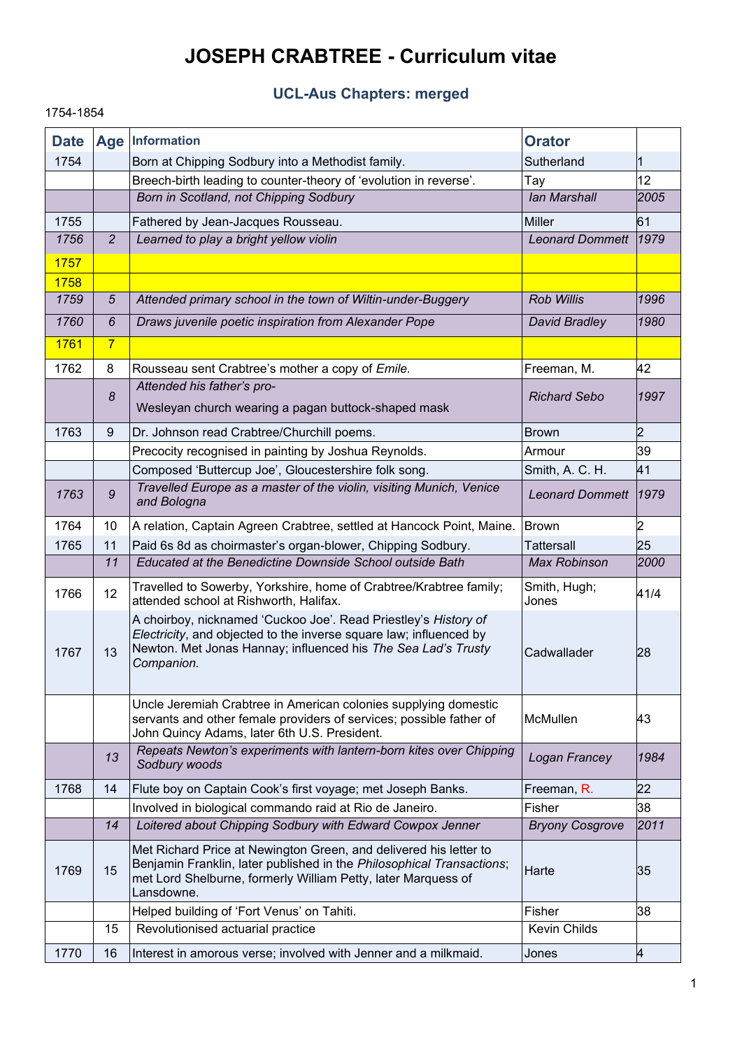# **JOSEPH CRABTREE - Curriculum vitae**

# **UCL-Aus Chapters: merged**

1754-1854

### **Date Age Information Orator** 1754 | Born at Chipping Sodbury into a Methodist family. Sutherland Sutherland Breech-birth leading to counter-theory of 'evolution in reverse'. Tay 12 *Born in Scotland, not Chipping Sodbury Ian Marshall**Ian Marshall* **<b>2005** 1755 | Fathered by Jean-Jacques Rousseau. Miller Muller has been for the formulation of the formulation of the *1756 2 Learned to play a bright yellow violin Leonard Dommett 1979* 1757 1758 *1759 5 Attended primary school in the town of Wiltin-under-Buggery Rob Willis 1996 1760 6 Draws juvenile poetic inspiration from Alexander Pope David Bradley 1980*  $1761$  7 1762 8 Rousseau sent Crabtree's mother a copy of *Emile.* Freeman, M. 42 *8 Attended his father's pro-*Wesleyan church wearing a pagan buttock-shaped mask *Richard Sebo 1997* 1763 9 Dr. Johnson read Crabtree/Churchill poems. Brown Brown 2 Precocity recognised in painting by Joshua Reynolds. Armour **Armour** 39 Composed 'Buttercup Joe', Gloucestershire folk song. Smith, A. C. H. 41 *1763 9 Travelled Europe as a master of the violin, visiting Munich, Venice and Bologna Leonard Dommett <sup>1979</sup>* 1764 | 10 A relation, Captain Agreen Crabtree, settled at Hancock Point, Maine. Brown 2 1765 11 Paid 6s 8d as choirmaster's organ-blower, Chipping Sodbury. Tattersall 25 *11 Educated at the Benedictine Downside School outside Bath Max Robinson 2000* 1766 12 Travelled to Sowerby, Yorkshire, home of Crabtree/Krabtree family; attended school at Rishworth, Halifax. Smith, Hugh; Sifiliti, Hugit, 41/4 1767 | 13 A choirboy, nicknamed 'Cuckoo Joe'. Read Priestley's *History of Electricity*, and objected to the inverse square law; influenced by Newton. Met Jonas Hannay; influenced his *The Sea Lad's Trusty Companion.* Cadwallader 28 Uncle Jeremiah Crabtree in American colonies supplying domestic servants and other female providers of services; possible father of John Quincy Adams, later 6th U.S. President. McMullen 43 *<sup>13</sup> Repeats Newton's experiments with lantern-born kites over Chipping Sodbury woods Logan Francey <sup>1984</sup>* 1768 | 14 | Flute boy on Captain Cook's first voyage; met Joseph Banks. Freeman, R. 22 Involved in biological commando raid at Rio de Janeiro. **Fisher** Fisher 38 *14 Loitered about Chipping Sodbury with Edward Cowpox Jenner Bryony Cosgrove 2011*  $1769$  15 Met Richard Price at Newington Green, and delivered his letter to Benjamin Franklin, later published in the *Philosophical Transactions*; met Lord Shelburne, formerly William Petty, later Marquess of Lansdowne. Harte 35 Helped building of 'Fort Venus' on Tahiti. Fisher 38 15 Revolutionised actuarial practice Kevin Childs Review Review Review Review Review Review Review Review Review 1770 16 Interest in amorous verse; involved with Jenner and a milkmaid. Jones 4

1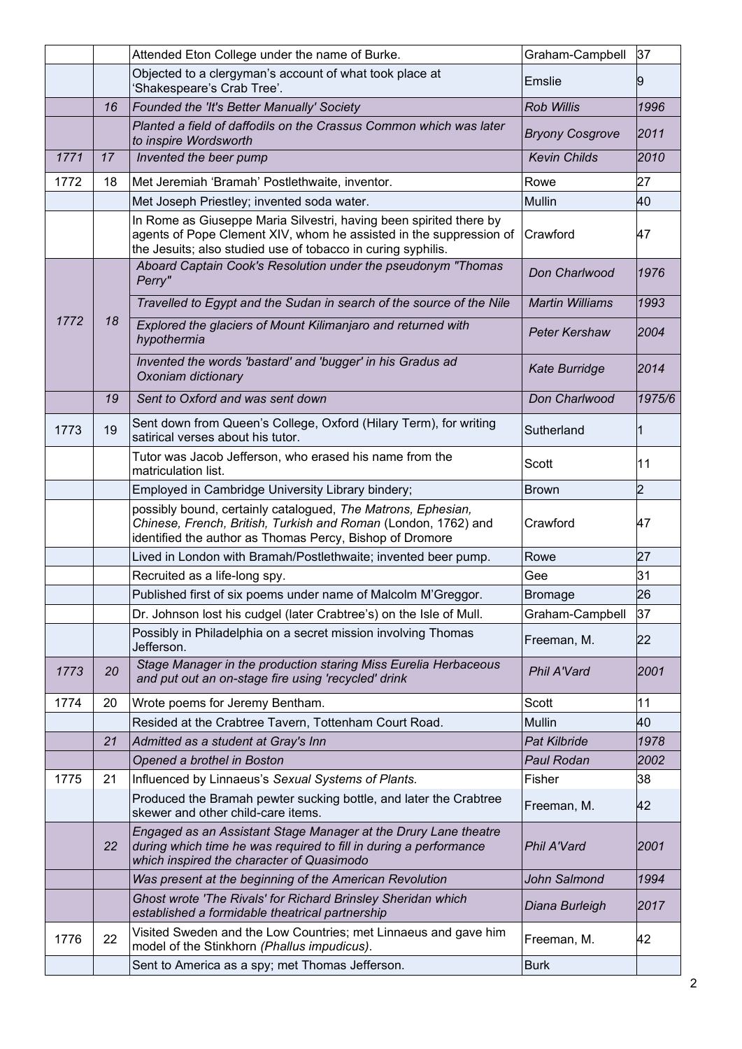|      |    | Attended Eton College under the name of Burke.                                                                                                                                                           | Graham-Campbell        | 37             |
|------|----|----------------------------------------------------------------------------------------------------------------------------------------------------------------------------------------------------------|------------------------|----------------|
|      |    | Objected to a clergyman's account of what took place at<br>'Shakespeare's Crab Tree'.                                                                                                                    | Emslie                 | 19             |
|      | 16 | Founded the 'It's Better Manually' Society                                                                                                                                                               | <b>Rob Willis</b>      | 1996           |
|      |    | Planted a field of daffodils on the Crassus Common which was later<br>to inspire Wordsworth                                                                                                              | <b>Bryony Cosgrove</b> | 2011           |
| 1771 | 17 | Invented the beer pump                                                                                                                                                                                   | <b>Kevin Childs</b>    | 2010           |
| 1772 | 18 | Met Jeremiah 'Bramah' Postlethwaite, inventor.                                                                                                                                                           | Rowe                   | 27             |
|      |    | Met Joseph Priestley; invented soda water.                                                                                                                                                               | Mullin                 | 40             |
|      |    | In Rome as Giuseppe Maria Silvestri, having been spirited there by<br>agents of Pope Clement XIV, whom he assisted in the suppression of<br>the Jesuits; also studied use of tobacco in curing syphilis. | Crawford               | 47             |
|      |    | Aboard Captain Cook's Resolution under the pseudonym "Thomas<br>Perry"                                                                                                                                   | Don Charlwood          | 1976           |
|      |    | Travelled to Egypt and the Sudan in search of the source of the Nile                                                                                                                                     | <b>Martin Williams</b> | 1993           |
| 1772 | 18 | Explored the glaciers of Mount Kilimanjaro and returned with<br>hypothermia                                                                                                                              | <b>Peter Kershaw</b>   | 2004           |
|      |    | Invented the words 'bastard' and 'bugger' in his Gradus ad<br>Oxoniam dictionary                                                                                                                         | <b>Kate Burridge</b>   | 2014           |
|      | 19 | Sent to Oxford and was sent down                                                                                                                                                                         | Don Charlwood          | 1975/6         |
| 1773 | 19 | Sent down from Queen's College, Oxford (Hilary Term), for writing<br>satirical verses about his tutor.                                                                                                   | Sutherland             | 1              |
|      |    | Tutor was Jacob Jefferson, who erased his name from the<br>matriculation list.                                                                                                                           | Scott                  | 11             |
|      |    | Employed in Cambridge University Library bindery;                                                                                                                                                        | <b>Brown</b>           | $\overline{2}$ |
|      |    | possibly bound, certainly catalogued, The Matrons, Ephesian,<br>Chinese, French, British, Turkish and Roman (London, 1762) and<br>identified the author as Thomas Percy, Bishop of Dromore               | Crawford               | 47             |
|      |    | Lived in London with Bramah/Postlethwaite; invented beer pump.                                                                                                                                           | Rowe                   | 27             |
|      |    | Recruited as a life-long spy.                                                                                                                                                                            | Gee                    | 31             |
|      |    | Published first of six poems under name of Malcolm M'Greggor.                                                                                                                                            | <b>Bromage</b>         | 26             |
|      |    | Dr. Johnson lost his cudgel (later Crabtree's) on the Isle of Mull.                                                                                                                                      | Graham-Campbell        | 37             |
|      |    | Possibly in Philadelphia on a secret mission involving Thomas<br>Jefferson.                                                                                                                              | Freeman, M.            | 22             |
| 1773 | 20 | Stage Manager in the production staring Miss Eurelia Herbaceous<br>and put out an on-stage fire using 'recycled' drink                                                                                   | Phil A'Vard            | 2001           |
| 1774 | 20 | Wrote poems for Jeremy Bentham.                                                                                                                                                                          | Scott                  | 11             |
|      |    | Resided at the Crabtree Tavern, Tottenham Court Road.                                                                                                                                                    | <b>Mullin</b>          | 40             |
|      | 21 | Admitted as a student at Gray's Inn                                                                                                                                                                      | <b>Pat Kilbride</b>    | 1978           |
|      |    | Opened a brothel in Boston                                                                                                                                                                               | Paul Rodan             | 2002           |
| 1775 | 21 | Influenced by Linnaeus's Sexual Systems of Plants.                                                                                                                                                       | Fisher                 | 38             |
|      |    | Produced the Bramah pewter sucking bottle, and later the Crabtree<br>skewer and other child-care items.                                                                                                  | Freeman, M.            | 42             |
|      | 22 | Engaged as an Assistant Stage Manager at the Drury Lane theatre<br>during which time he was required to fill in during a performance<br>which inspired the character of Quasimodo                        | <b>Phil A'Vard</b>     | 2001           |
|      |    | Was present at the beginning of the American Revolution                                                                                                                                                  | John Salmond           | 1994           |
|      |    | Ghost wrote 'The Rivals' for Richard Brinsley Sheridan which<br>established a formidable theatrical partnership                                                                                          | Diana Burleigh         | 2017           |
| 1776 | 22 | Visited Sweden and the Low Countries; met Linnaeus and gave him<br>model of the Stinkhorn (Phallus impudicus).                                                                                           | Freeman, M.            | 42             |
|      |    | Sent to America as a spy; met Thomas Jefferson.                                                                                                                                                          | <b>Burk</b>            |                |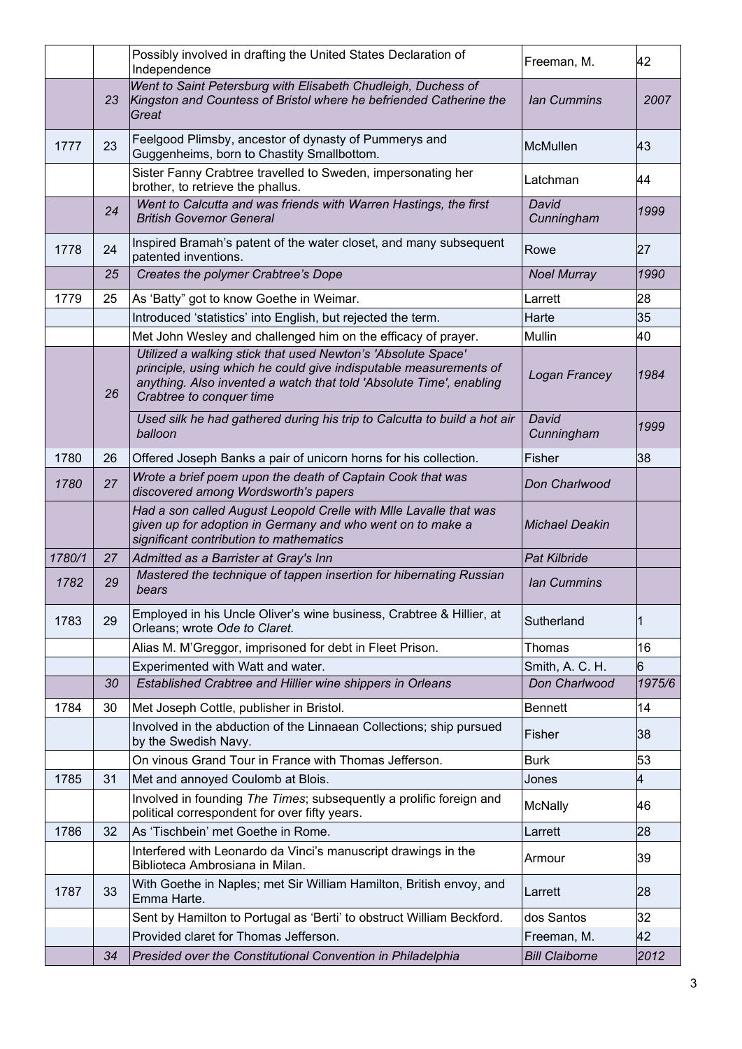|        |    | Possibly involved in drafting the United States Declaration of<br>Independence                                                                                                                                                       | Freeman, M.           | 42     |
|--------|----|--------------------------------------------------------------------------------------------------------------------------------------------------------------------------------------------------------------------------------------|-----------------------|--------|
|        | 23 | Went to Saint Petersburg with Elisabeth Chudleigh, Duchess of<br>Kingston and Countess of Bristol where he befriended Catherine the<br>Great                                                                                         | <b>Ian Cummins</b>    | 2007   |
| 1777   | 23 | Feelgood Plimsby, ancestor of dynasty of Pummerys and<br>Guggenheims, born to Chastity Smallbottom.                                                                                                                                  | McMullen              | 43     |
|        |    | Sister Fanny Crabtree travelled to Sweden, impersonating her<br>brother, to retrieve the phallus.                                                                                                                                    | Latchman              | 44     |
|        | 24 | Went to Calcutta and was friends with Warren Hastings, the first<br><b>British Governor General</b>                                                                                                                                  | David<br>Cunningham   | 1999   |
| 1778   | 24 | Inspired Bramah's patent of the water closet, and many subsequent<br>patented inventions.                                                                                                                                            | Rowe                  | 27     |
|        | 25 | Creates the polymer Crabtree's Dope                                                                                                                                                                                                  | <b>Noel Murray</b>    | 1990   |
| 1779   | 25 | As 'Batty" got to know Goethe in Weimar.                                                                                                                                                                                             | Larrett               | 28     |
|        |    | Introduced 'statistics' into English, but rejected the term.                                                                                                                                                                         | Harte                 | 35     |
|        |    | Met John Wesley and challenged him on the efficacy of prayer.                                                                                                                                                                        | Mullin                | 40     |
|        | 26 | Utilized a walking stick that used Newton's 'Absolute Space'<br>principle, using which he could give indisputable measurements of<br>anything. Also invented a watch that told 'Absolute Time', enabling<br>Crabtree to conquer time | Logan Francey         | 1984   |
|        |    | Used silk he had gathered during his trip to Calcutta to build a hot air<br>balloon                                                                                                                                                  | David<br>Cunningham   | 1999   |
| 1780   | 26 | Offered Joseph Banks a pair of unicorn horns for his collection.                                                                                                                                                                     | Fisher                | 38     |
| 1780   | 27 | Wrote a brief poem upon the death of Captain Cook that was<br>discovered among Wordsworth's papers                                                                                                                                   | Don Charlwood         |        |
|        |    | Had a son called August Leopold Crelle with Mile Lavalle that was<br>given up for adoption in Germany and who went on to make a<br>significant contribution to mathematics                                                           | <b>Michael Deakin</b> |        |
| 1780/1 | 27 | Admitted as a Barrister at Gray's Inn                                                                                                                                                                                                | <b>Pat Kilbride</b>   |        |
| 1782   | 29 | Mastered the technique of tappen insertion for hibernating Russian<br>bears                                                                                                                                                          | <b>Ian Cummins</b>    |        |
| 1783   | 29 | Employed in his Uncle Oliver's wine business, Crabtree & Hillier, at<br>Orleans; wrote Ode to Claret.                                                                                                                                | Sutherland            | Ι1     |
|        |    | Alias M. M'Greggor, imprisoned for debt in Fleet Prison.                                                                                                                                                                             | Thomas                | 16     |
|        |    | Experimented with Watt and water.                                                                                                                                                                                                    | Smith, A. C. H.       | 6      |
|        | 30 | Established Crabtree and Hillier wine shippers in Orleans                                                                                                                                                                            | Don Charlwood         | 1975/6 |
| 1784   | 30 | Met Joseph Cottle, publisher in Bristol.                                                                                                                                                                                             | <b>Bennett</b>        | 14     |
|        |    | Involved in the abduction of the Linnaean Collections; ship pursued<br>by the Swedish Navy.                                                                                                                                          | Fisher                | 38     |
|        |    | On vinous Grand Tour in France with Thomas Jefferson.                                                                                                                                                                                | <b>Burk</b>           | 53     |
| 1785   | 31 | Met and annoyed Coulomb at Blois.                                                                                                                                                                                                    | Jones                 | 4      |
|        |    | Involved in founding The Times; subsequently a prolific foreign and<br>political correspondent for over fifty years.                                                                                                                 | McNally               | 46     |
| 1786   | 32 | As 'Tischbein' met Goethe in Rome.                                                                                                                                                                                                   | Larrett               | 28     |
|        |    | Interfered with Leonardo da Vinci's manuscript drawings in the<br>Biblioteca Ambrosiana in Milan.                                                                                                                                    | Armour                | 39     |
| 1787   | 33 | With Goethe in Naples; met Sir William Hamilton, British envoy, and<br>Emma Harte.                                                                                                                                                   | Larrett               | 28     |
|        |    | Sent by Hamilton to Portugal as 'Berti' to obstruct William Beckford.                                                                                                                                                                | dos Santos            | 32     |
|        |    | Provided claret for Thomas Jefferson.                                                                                                                                                                                                | Freeman, M.           | 42     |
|        | 34 | Presided over the Constitutional Convention in Philadelphia                                                                                                                                                                          | <b>Bill Claiborne</b> | 2012   |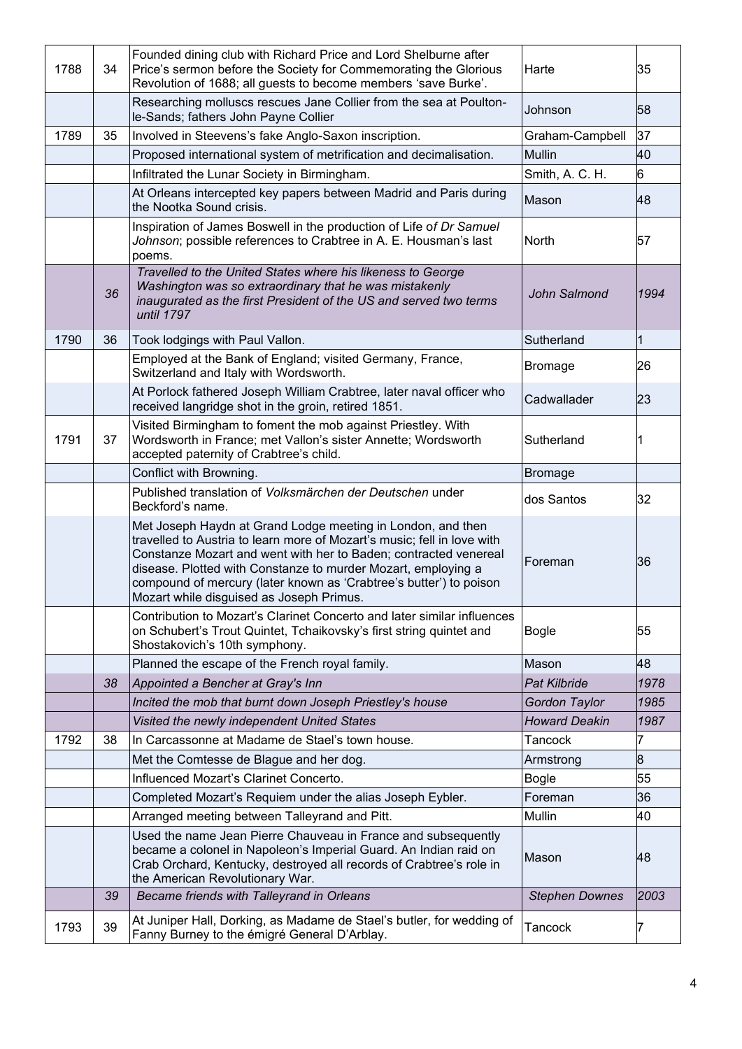| 1788 | 34 | Founded dining club with Richard Price and Lord Shelburne after<br>Price's sermon before the Society for Commemorating the Glorious<br>Revolution of 1688; all guests to become members 'save Burke'.                                                                                                                                                                                         | Harte                 | 35   |
|------|----|-----------------------------------------------------------------------------------------------------------------------------------------------------------------------------------------------------------------------------------------------------------------------------------------------------------------------------------------------------------------------------------------------|-----------------------|------|
|      |    | Researching molluscs rescues Jane Collier from the sea at Poulton-<br>le-Sands; fathers John Payne Collier                                                                                                                                                                                                                                                                                    | Johnson               | 58   |
| 1789 | 35 | Involved in Steevens's fake Anglo-Saxon inscription.                                                                                                                                                                                                                                                                                                                                          | Graham-Campbell       | 37   |
|      |    | Proposed international system of metrification and decimalisation.                                                                                                                                                                                                                                                                                                                            | Mullin                | 40   |
|      |    | Infiltrated the Lunar Society in Birmingham.                                                                                                                                                                                                                                                                                                                                                  | Smith, A. C. H.       | 6    |
|      |    | At Orleans intercepted key papers between Madrid and Paris during<br>the Nootka Sound crisis.                                                                                                                                                                                                                                                                                                 | Mason                 | 48   |
|      |    | Inspiration of James Boswell in the production of Life of Dr Samuel<br>Johnson; possible references to Crabtree in A. E. Housman's last<br>poems.                                                                                                                                                                                                                                             | North                 | 57   |
|      | 36 | Travelled to the United States where his likeness to George<br>Washington was so extraordinary that he was mistakenly<br>inaugurated as the first President of the US and served two terms<br>until 1797                                                                                                                                                                                      | John Salmond          | 1994 |
| 1790 | 36 | Took lodgings with Paul Vallon.                                                                                                                                                                                                                                                                                                                                                               | Sutherland            | 1    |
|      |    | Employed at the Bank of England; visited Germany, France,<br>Switzerland and Italy with Wordsworth.                                                                                                                                                                                                                                                                                           | <b>Bromage</b>        | 26   |
|      |    | At Porlock fathered Joseph William Crabtree, later naval officer who<br>received langridge shot in the groin, retired 1851.                                                                                                                                                                                                                                                                   | Cadwallader           | 23   |
| 1791 | 37 | Visited Birmingham to foment the mob against Priestley. With<br>Wordsworth in France; met Vallon's sister Annette; Wordsworth<br>accepted paternity of Crabtree's child.                                                                                                                                                                                                                      | Sutherland            | 1    |
|      |    | Conflict with Browning.                                                                                                                                                                                                                                                                                                                                                                       | Bromage               |      |
|      |    | Published translation of Volksmärchen der Deutschen under<br>Beckford's name.                                                                                                                                                                                                                                                                                                                 | dos Santos            | 32   |
|      |    | Met Joseph Haydn at Grand Lodge meeting in London, and then<br>travelled to Austria to learn more of Mozart's music; fell in love with<br>Constanze Mozart and went with her to Baden; contracted venereal<br>disease. Plotted with Constanze to murder Mozart, employing a<br>compound of mercury (later known as 'Crabtree's butter') to poison<br>Mozart while disguised as Joseph Primus. | Foreman               | 36   |
|      |    | Contribution to Mozart's Clarinet Concerto and later similar influences<br>on Schubert's Trout Quintet, Tchaikovsky's first string quintet and<br>Shostakovich's 10th symphony.                                                                                                                                                                                                               | <b>Bogle</b>          | 55   |
|      |    | Planned the escape of the French royal family.                                                                                                                                                                                                                                                                                                                                                | Mason                 | 48   |
|      | 38 | Appointed a Bencher at Gray's Inn                                                                                                                                                                                                                                                                                                                                                             | <b>Pat Kilbride</b>   | 1978 |
|      |    | Incited the mob that burnt down Joseph Priestley's house                                                                                                                                                                                                                                                                                                                                      | Gordon Taylor         | 1985 |
|      |    | Visited the newly independent United States                                                                                                                                                                                                                                                                                                                                                   | <b>Howard Deakin</b>  | 1987 |
| 1792 | 38 | In Carcassonne at Madame de Stael's town house.                                                                                                                                                                                                                                                                                                                                               | Tancock               | 7    |
|      |    | Met the Comtesse de Blague and her dog.                                                                                                                                                                                                                                                                                                                                                       | Armstrong             | 8    |
|      |    | Influenced Mozart's Clarinet Concerto.                                                                                                                                                                                                                                                                                                                                                        | <b>Bogle</b>          | 55   |
|      |    | Completed Mozart's Requiem under the alias Joseph Eybler.                                                                                                                                                                                                                                                                                                                                     | Foreman               | 36   |
|      |    | Arranged meeting between Talleyrand and Pitt.                                                                                                                                                                                                                                                                                                                                                 | Mullin                | 40   |
|      |    | Used the name Jean Pierre Chauveau in France and subsequently<br>became a colonel in Napoleon's Imperial Guard. An Indian raid on<br>Crab Orchard, Kentucky, destroyed all records of Crabtree's role in<br>the American Revolutionary War.                                                                                                                                                   | Mason                 | 48   |
|      | 39 | Became friends with Talleyrand in Orleans                                                                                                                                                                                                                                                                                                                                                     | <b>Stephen Downes</b> | 2003 |
| 1793 | 39 | At Juniper Hall, Dorking, as Madame de Stael's butler, for wedding of<br>Fanny Burney to the émigré General D'Arblay.                                                                                                                                                                                                                                                                         | Tancock               |      |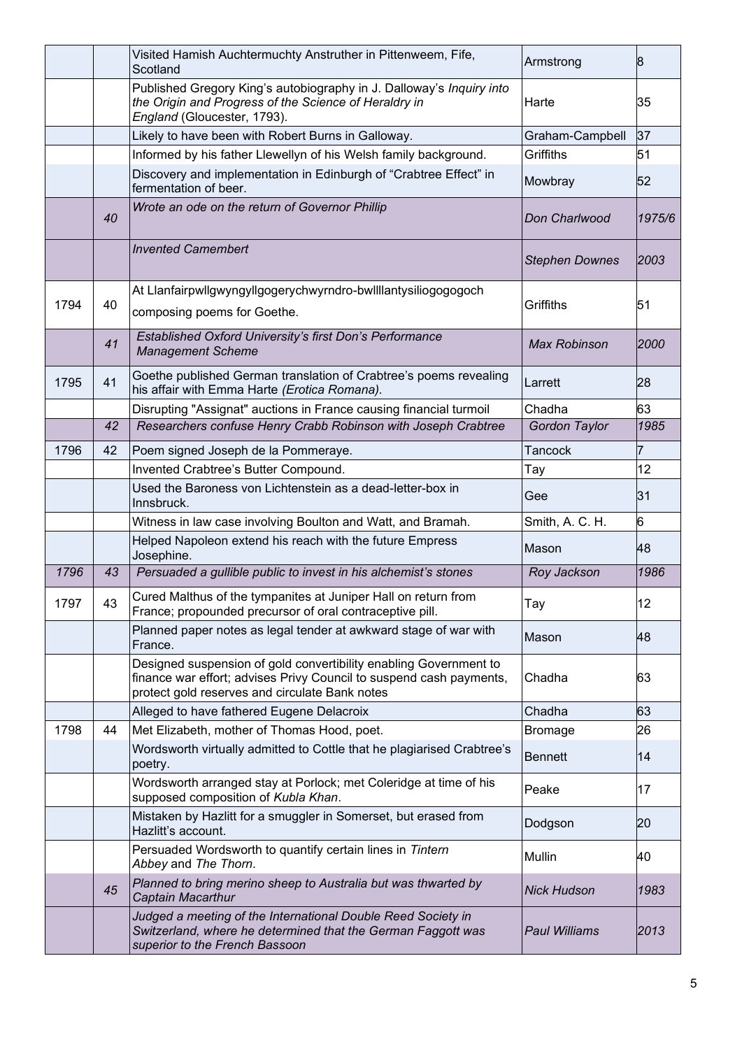|      |    | Visited Hamish Auchtermuchty Anstruther in Pittenweem, Fife,<br>Scotland                                                                                                                   | Armstrong             | 8      |
|------|----|--------------------------------------------------------------------------------------------------------------------------------------------------------------------------------------------|-----------------------|--------|
|      |    | Published Gregory King's autobiography in J. Dalloway's Inquiry into<br>the Origin and Progress of the Science of Heraldry in<br>England (Gloucester, 1793).                               | Harte                 | 35     |
|      |    | Likely to have been with Robert Burns in Galloway.                                                                                                                                         | Graham-Campbell       | 37     |
|      |    | Informed by his father Llewellyn of his Welsh family background.                                                                                                                           | Griffiths             | 51     |
|      |    | Discovery and implementation in Edinburgh of "Crabtree Effect" in<br>fermentation of beer.                                                                                                 | Mowbray               | 52     |
|      | 40 | Wrote an ode on the return of Governor Phillip                                                                                                                                             | Don Charlwood         | 1975/6 |
|      |    | <b>Invented Camembert</b>                                                                                                                                                                  | <b>Stephen Downes</b> | 2003   |
| 1794 | 40 | At Llanfairpwllgwyngyllgogerychwyrndro-bwllllantysiliogogogoch<br>composing poems for Goethe.                                                                                              | Griffiths             | 51     |
|      | 41 | Established Oxford University's first Don's Performance<br><b>Management Scheme</b>                                                                                                        | <b>Max Robinson</b>   | 2000   |
| 1795 | 41 | Goethe published German translation of Crabtree's poems revealing<br>his affair with Emma Harte (Erotica Romana).                                                                          | Larrett               | 28     |
|      |    | Disrupting "Assignat" auctions in France causing financial turmoil                                                                                                                         | Chadha                | 63     |
|      | 42 | Researchers confuse Henry Crabb Robinson with Joseph Crabtree                                                                                                                              | Gordon Taylor         | 1985   |
| 1796 | 42 | Poem signed Joseph de la Pommeraye.                                                                                                                                                        | Tancock               | 7      |
|      |    | Invented Crabtree's Butter Compound.                                                                                                                                                       | Тау                   | 12     |
|      |    | Used the Baroness von Lichtenstein as a dead-letter-box in<br>Innsbruck.                                                                                                                   | Gee                   | 31     |
|      |    | Witness in law case involving Boulton and Watt, and Bramah.                                                                                                                                | Smith, A. C. H.       | 6      |
|      |    | Helped Napoleon extend his reach with the future Empress<br>Josephine.                                                                                                                     | Mason                 | 48     |
| 1796 | 43 | Persuaded a gullible public to invest in his alchemist's stones                                                                                                                            | Roy Jackson           | 1986   |
| 1797 | 43 | Cured Malthus of the tympanites at Juniper Hall on return from<br>France; propounded precursor of oral contraceptive pill.                                                                 | Tay                   | 12     |
|      |    | Planned paper notes as legal tender at awkward stage of war with<br>France.                                                                                                                | Mason                 | 48     |
|      |    | Designed suspension of gold convertibility enabling Government to<br>finance war effort; advises Privy Council to suspend cash payments,<br>protect gold reserves and circulate Bank notes | Chadha                | 63     |
|      |    | Alleged to have fathered Eugene Delacroix                                                                                                                                                  | Chadha                | 63     |
| 1798 | 44 | Met Elizabeth, mother of Thomas Hood, poet.                                                                                                                                                | <b>Bromage</b>        | 26     |
|      |    | Wordsworth virtually admitted to Cottle that he plagiarised Crabtree's<br>poetry.                                                                                                          | <b>Bennett</b>        | 14     |
|      |    | Wordsworth arranged stay at Porlock; met Coleridge at time of his<br>supposed composition of Kubla Khan.                                                                                   | Peake                 | 17     |
|      |    | Mistaken by Hazlitt for a smuggler in Somerset, but erased from<br>Hazlitt's account.                                                                                                      | Dodgson               | 20     |
|      |    | Persuaded Wordsworth to quantify certain lines in Tintern<br>Abbey and The Thorn.                                                                                                          | Mullin                | 40     |
|      | 45 | Planned to bring merino sheep to Australia but was thwarted by<br>Captain Macarthur                                                                                                        | <b>Nick Hudson</b>    | 1983   |
|      |    | Judged a meeting of the International Double Reed Society in<br>Switzerland, where he determined that the German Faggott was<br>superior to the French Bassoon                             | <b>Paul Williams</b>  | 2013   |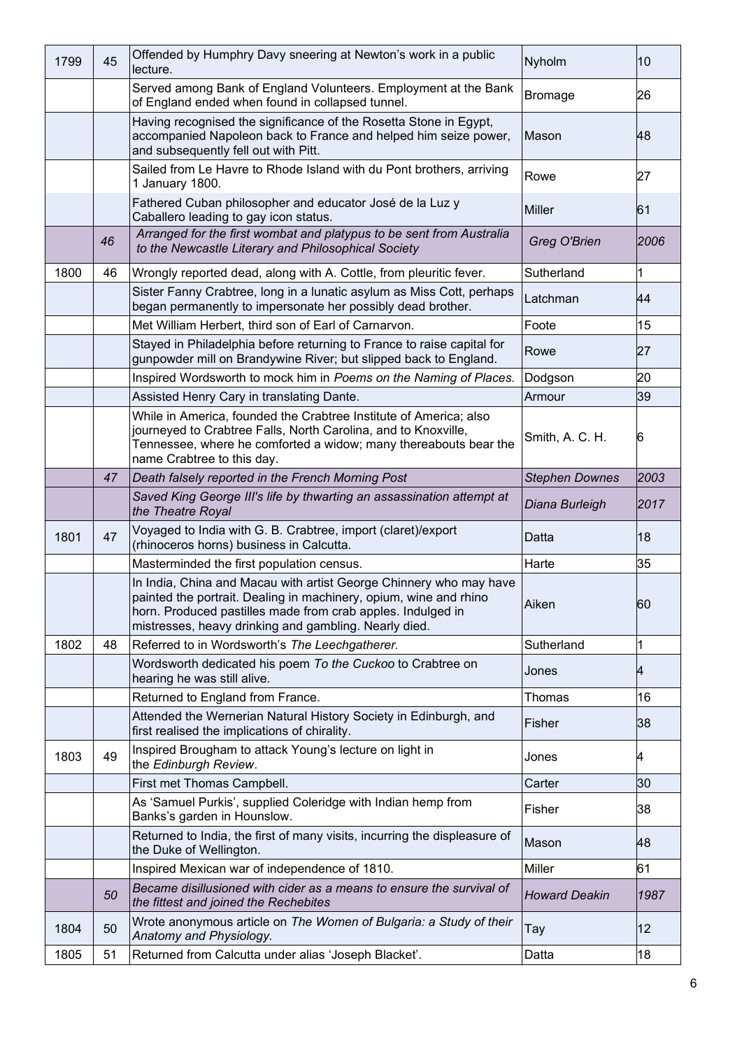| 1799 | 45 | Offended by Humphry Davy sneering at Newton's work in a public<br>lecture.                                                                                                                                                                                      | Nyholm                | 10   |
|------|----|-----------------------------------------------------------------------------------------------------------------------------------------------------------------------------------------------------------------------------------------------------------------|-----------------------|------|
|      |    | Served among Bank of England Volunteers. Employment at the Bank<br>of England ended when found in collapsed tunnel.                                                                                                                                             | <b>Bromage</b>        | 26   |
|      |    | Having recognised the significance of the Rosetta Stone in Egypt,<br>accompanied Napoleon back to France and helped him seize power,<br>and subsequently fell out with Pitt.                                                                                    | Mason                 | 48   |
|      |    | Sailed from Le Havre to Rhode Island with du Pont brothers, arriving<br>1 January 1800.                                                                                                                                                                         | Rowe                  | 27   |
|      |    | Fathered Cuban philosopher and educator José de la Luz y<br>Caballero leading to gay icon status.                                                                                                                                                               | Miller                | 61   |
|      | 46 | Arranged for the first wombat and platypus to be sent from Australia<br>to the Newcastle Literary and Philosophical Society                                                                                                                                     | Greg O'Brien          | 2006 |
| 1800 | 46 | Wrongly reported dead, along with A. Cottle, from pleuritic fever.                                                                                                                                                                                              | Sutherland            | 1    |
|      |    | Sister Fanny Crabtree, long in a lunatic asylum as Miss Cott, perhaps<br>began permanently to impersonate her possibly dead brother.                                                                                                                            | Latchman              | 44   |
|      |    | Met William Herbert, third son of Earl of Carnarvon.                                                                                                                                                                                                            | Foote                 | 15   |
|      |    | Stayed in Philadelphia before returning to France to raise capital for<br>gunpowder mill on Brandywine River; but slipped back to England.                                                                                                                      | Rowe                  | 27   |
|      |    | Inspired Wordsworth to mock him in Poems on the Naming of Places.                                                                                                                                                                                               | Dodgson               | 20   |
|      |    | Assisted Henry Cary in translating Dante.                                                                                                                                                                                                                       | Armour                | 39   |
|      |    | While in America, founded the Crabtree Institute of America; also<br>journeyed to Crabtree Falls, North Carolina, and to Knoxville,<br>Tennessee, where he comforted a widow; many thereabouts bear the<br>name Crabtree to this day.                           | Smith, A. C. H.       | 6    |
|      | 47 | Death falsely reported in the French Morning Post                                                                                                                                                                                                               | <b>Stephen Downes</b> | 2003 |
|      |    | Saved King George III's life by thwarting an assassination attempt at<br>the Theatre Royal                                                                                                                                                                      | Diana Burleigh        | 2017 |
| 1801 | 47 | Voyaged to India with G. B. Crabtree, import (claret)/export<br>(rhinoceros horns) business in Calcutta.                                                                                                                                                        | Datta                 | 18   |
|      |    | Masterminded the first population census.                                                                                                                                                                                                                       | Harte                 | 35   |
|      |    | In India, China and Macau with artist George Chinnery who may have<br>painted the portrait. Dealing in machinery, opium, wine and rhino<br>horn. Produced pastilles made from crab apples. Indulged in<br>mistresses, heavy drinking and gambling. Nearly died. | Aiken                 | 60   |
| 1802 | 48 | Referred to in Wordsworth's The Leechgatherer.                                                                                                                                                                                                                  | Sutherland            | 1    |
|      |    | Wordsworth dedicated his poem To the Cuckoo to Crabtree on<br>hearing he was still alive.                                                                                                                                                                       | Jones                 | 4    |
|      |    | Returned to England from France.                                                                                                                                                                                                                                | Thomas                | 16   |
|      |    | Attended the Wernerian Natural History Society in Edinburgh, and<br>first realised the implications of chirality.                                                                                                                                               | Fisher                | 38   |
| 1803 | 49 | Inspired Brougham to attack Young's lecture on light in<br>the Edinburgh Review.                                                                                                                                                                                | Jones                 | 4    |
|      |    | First met Thomas Campbell.                                                                                                                                                                                                                                      | Carter                | 30   |
|      |    | As 'Samuel Purkis', supplied Coleridge with Indian hemp from<br>Banks's garden in Hounslow.                                                                                                                                                                     | Fisher                | 38   |
|      |    | Returned to India, the first of many visits, incurring the displeasure of<br>the Duke of Wellington.                                                                                                                                                            | Mason                 | 48   |
|      |    | Inspired Mexican war of independence of 1810.                                                                                                                                                                                                                   | Miller                | 61   |
|      | 50 | Became disillusioned with cider as a means to ensure the survival of<br>the fittest and joined the Rechebites                                                                                                                                                   | <b>Howard Deakin</b>  | 1987 |
| 1804 | 50 | Wrote anonymous article on The Women of Bulgaria: a Study of their<br>Anatomy and Physiology.                                                                                                                                                                   | Tay                   | 12   |
| 1805 | 51 | Returned from Calcutta under alias 'Joseph Blacket'.                                                                                                                                                                                                            | Datta                 | 18   |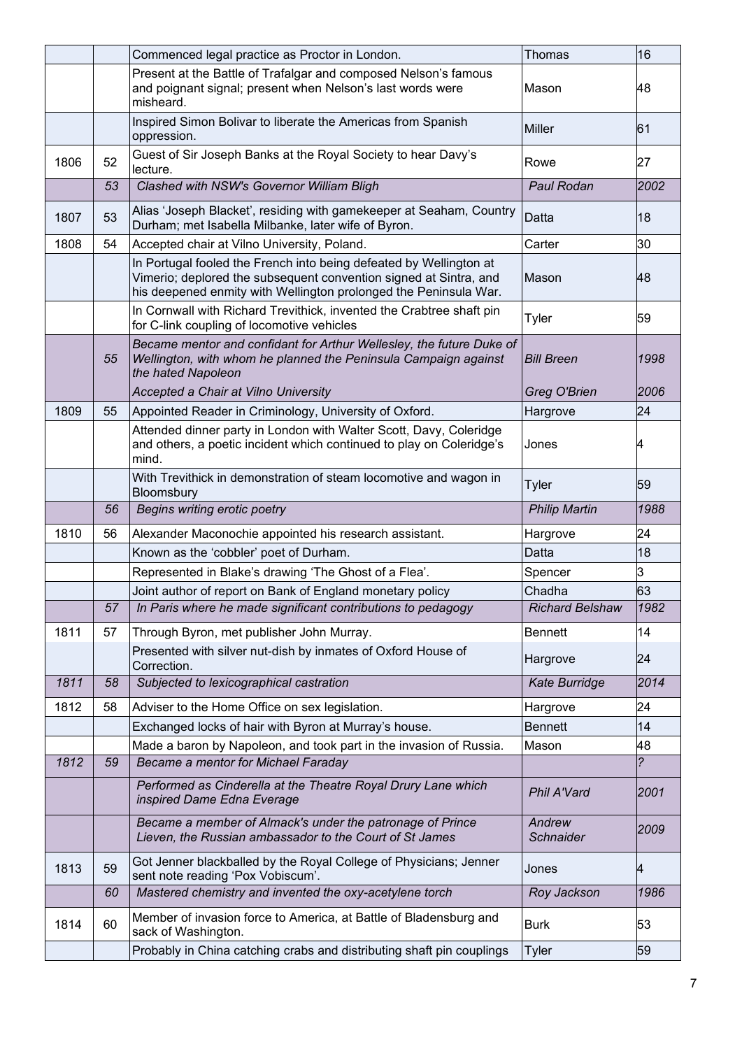|      |    | Commenced legal practice as Proctor in London.                                                                                                                                                              | Thomas                     | 16                      |
|------|----|-------------------------------------------------------------------------------------------------------------------------------------------------------------------------------------------------------------|----------------------------|-------------------------|
|      |    | Present at the Battle of Trafalgar and composed Nelson's famous<br>and poignant signal; present when Nelson's last words were<br>misheard.                                                                  | Mason                      | 48                      |
|      |    | Inspired Simon Bolivar to liberate the Americas from Spanish<br>oppression.                                                                                                                                 | <b>Miller</b>              | 61                      |
| 1806 | 52 | Guest of Sir Joseph Banks at the Royal Society to hear Davy's<br>lecture.                                                                                                                                   | Rowe                       | 27                      |
|      | 53 | Clashed with NSW's Governor William Bligh                                                                                                                                                                   | Paul Rodan                 | 2002                    |
| 1807 | 53 | Alias 'Joseph Blacket', residing with gamekeeper at Seaham, Country<br>Durham; met Isabella Milbanke, later wife of Byron.                                                                                  | Datta                      | 18                      |
| 1808 | 54 | Accepted chair at Vilno University, Poland.                                                                                                                                                                 | Carter                     | 30                      |
|      |    | In Portugal fooled the French into being defeated by Wellington at<br>Vimerio; deplored the subsequent convention signed at Sintra, and<br>his deepened enmity with Wellington prolonged the Peninsula War. | Mason                      | 48                      |
|      |    | In Cornwall with Richard Trevithick, invented the Crabtree shaft pin<br>for C-link coupling of locomotive vehicles                                                                                          | Tyler                      | 59                      |
|      | 55 | Became mentor and confidant for Arthur Wellesley, the future Duke of<br>Wellington, with whom he planned the Peninsula Campaign against<br>the hated Napoleon                                               | <b>Bill Breen</b>          | 1998                    |
|      |    | Accepted a Chair at Vilno University                                                                                                                                                                        | Greg O'Brien               | 2006                    |
| 1809 | 55 | Appointed Reader in Criminology, University of Oxford.                                                                                                                                                      | Hargrove                   | 24                      |
|      |    | Attended dinner party in London with Walter Scott, Davy, Coleridge<br>and others, a poetic incident which continued to play on Coleridge's<br>mind.                                                         | Jones                      | 4                       |
|      |    | With Trevithick in demonstration of steam locomotive and wagon in<br>Bloomsbury                                                                                                                             | Tyler                      | 59                      |
|      |    |                                                                                                                                                                                                             |                            |                         |
|      | 56 | Begins writing erotic poetry                                                                                                                                                                                | <b>Philip Martin</b>       | 1988                    |
| 1810 | 56 | Alexander Maconochie appointed his research assistant.                                                                                                                                                      | Hargrove                   | 24                      |
|      |    | Known as the 'cobbler' poet of Durham.                                                                                                                                                                      | Datta                      | 18                      |
|      |    | Represented in Blake's drawing 'The Ghost of a Flea'.                                                                                                                                                       | Spencer                    | 3                       |
|      |    | Joint author of report on Bank of England monetary policy                                                                                                                                                   | Chadha                     | 63                      |
|      | 57 | In Paris where he made significant contributions to pedagogy                                                                                                                                                | <b>Richard Belshaw</b>     | 1982                    |
| 1811 | 57 | Through Byron, met publisher John Murray.                                                                                                                                                                   | <b>Bennett</b>             | 14                      |
|      |    | Presented with silver nut-dish by inmates of Oxford House of<br>Correction.                                                                                                                                 | Hargrove                   | 24                      |
| 1811 | 58 | Subjected to lexicographical castration                                                                                                                                                                     | <b>Kate Burridge</b>       | 2014                    |
| 1812 | 58 | Adviser to the Home Office on sex legislation.                                                                                                                                                              | Hargrove                   | 24                      |
|      |    | Exchanged locks of hair with Byron at Murray's house.                                                                                                                                                       | <b>Bennett</b>             | 14                      |
|      |    | Made a baron by Napoleon, and took part in the invasion of Russia.                                                                                                                                          | Mason                      | 48                      |
| 1812 | 59 | Became a mentor for Michael Faraday                                                                                                                                                                         |                            | $\overline{\mathbf{c}}$ |
|      |    | Performed as Cinderella at the Theatre Royal Drury Lane which<br>inspired Dame Edna Everage                                                                                                                 | Phil A'Vard                | 2001                    |
|      |    | Became a member of Almack's under the patronage of Prince<br>Lieven, the Russian ambassador to the Court of St James                                                                                        | Andrew<br><b>Schnaider</b> | 2009                    |
| 1813 | 59 | Got Jenner blackballed by the Royal College of Physicians; Jenner<br>sent note reading 'Pox Vobiscum'.                                                                                                      | Jones                      | K4                      |
|      | 60 | Mastered chemistry and invented the oxy-acetylene torch                                                                                                                                                     | Roy Jackson                | 1986                    |
| 1814 | 60 | Member of invasion force to America, at Battle of Bladensburg and<br>sack of Washington.                                                                                                                    | <b>Burk</b>                | 53                      |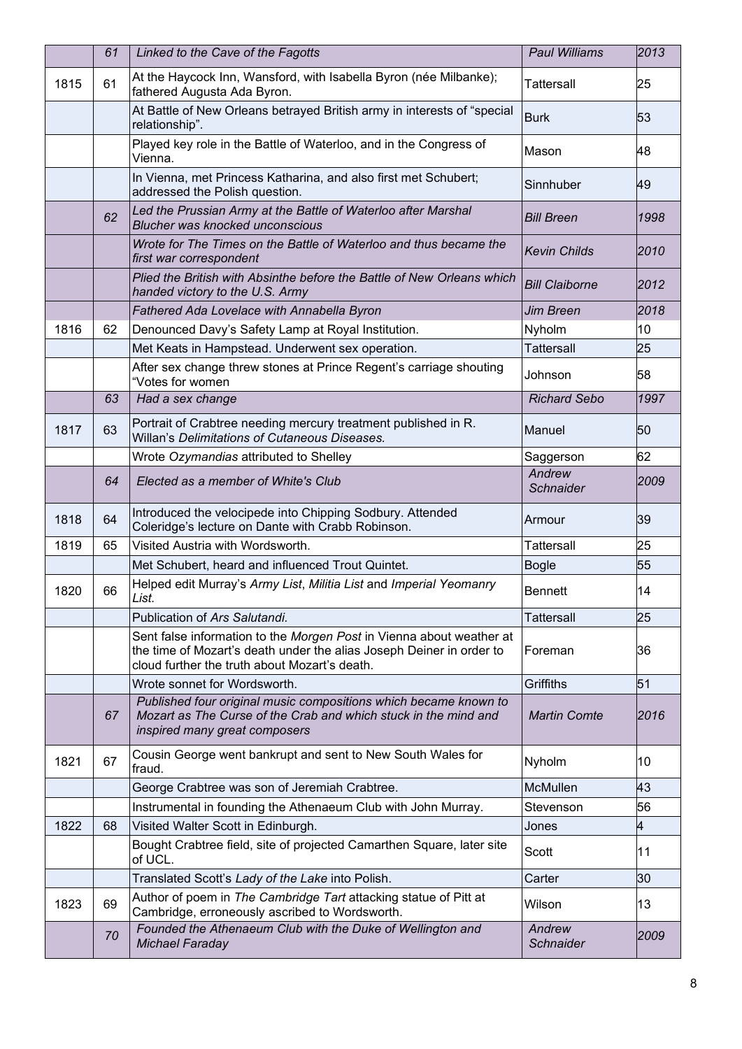|      | 61 | Linked to the Cave of the Fagotts                                                                                                                                                             | <b>Paul Williams</b>       | 2013 |
|------|----|-----------------------------------------------------------------------------------------------------------------------------------------------------------------------------------------------|----------------------------|------|
| 1815 | 61 | At the Haycock Inn, Wansford, with Isabella Byron (née Milbanke);<br>fathered Augusta Ada Byron.                                                                                              | Tattersall                 | 25   |
|      |    | At Battle of New Orleans betrayed British army in interests of "special<br>relationship".                                                                                                     | <b>Burk</b>                | 53   |
|      |    | Played key role in the Battle of Waterloo, and in the Congress of<br>Vienna.                                                                                                                  | Mason                      | 48   |
|      |    | In Vienna, met Princess Katharina, and also first met Schubert;<br>addressed the Polish question.                                                                                             | Sinnhuber                  | 49   |
|      | 62 | Led the Prussian Army at the Battle of Waterloo after Marshal<br><b>Blucher was knocked unconscious</b>                                                                                       | <b>Bill Breen</b>          | 1998 |
|      |    | Wrote for The Times on the Battle of Waterloo and thus became the<br>first war correspondent                                                                                                  | <b>Kevin Childs</b>        | 2010 |
|      |    | Plied the British with Absinthe before the Battle of New Orleans which<br>handed victory to the U.S. Army                                                                                     | <b>Bill Claiborne</b>      | 2012 |
|      |    | Fathered Ada Lovelace with Annabella Byron                                                                                                                                                    | <b>Jim Breen</b>           | 2018 |
| 1816 | 62 | Denounced Davy's Safety Lamp at Royal Institution.                                                                                                                                            | Nyholm                     | 10   |
|      |    | Met Keats in Hampstead. Underwent sex operation.                                                                                                                                              | <b>Tattersall</b>          | 25   |
|      |    | After sex change threw stones at Prince Regent's carriage shouting<br>"Votes for women                                                                                                        | Johnson                    | 58   |
|      | 63 | Had a sex change                                                                                                                                                                              | <b>Richard Sebo</b>        | 1997 |
| 1817 | 63 | Portrait of Crabtree needing mercury treatment published in R.<br>Willan's Delimitations of Cutaneous Diseases.                                                                               | Manuel                     | 50   |
|      |    | Wrote Ozymandias attributed to Shelley                                                                                                                                                        | Saggerson                  | 62   |
|      | 64 | Elected as a member of White's Club                                                                                                                                                           | Andrew<br><b>Schnaider</b> | 2009 |
| 1818 | 64 | Introduced the velocipede into Chipping Sodbury. Attended<br>Coleridge's lecture on Dante with Crabb Robinson.                                                                                | Armour                     | 39   |
| 1819 | 65 | Visited Austria with Wordsworth.                                                                                                                                                              | Tattersall                 | 25   |
|      |    | Met Schubert, heard and influenced Trout Quintet.                                                                                                                                             | <b>Bogle</b>               | 55   |
| 1820 | 66 | Helped edit Murray's Army List, Militia List and Imperial Yeomanry<br>List.                                                                                                                   | <b>Bennett</b>             | 14   |
|      |    | Publication of Ars Salutandi.                                                                                                                                                                 | <b>Tattersall</b>          | 25   |
|      |    | Sent false information to the Morgen Post in Vienna about weather at<br>the time of Mozart's death under the alias Joseph Deiner in order to<br>cloud further the truth about Mozart's death. | Foreman                    | 36   |
|      |    | Wrote sonnet for Wordsworth.                                                                                                                                                                  | Griffiths                  | 51   |
|      | 67 | Published four original music compositions which became known to<br>Mozart as The Curse of the Crab and which stuck in the mind and<br>inspired many great composers                          | <b>Martin Comte</b>        | 2016 |
| 1821 | 67 | Cousin George went bankrupt and sent to New South Wales for<br>fraud.                                                                                                                         | Nyholm                     | 10   |
|      |    | George Crabtree was son of Jeremiah Crabtree.                                                                                                                                                 | McMullen                   | 43   |
|      |    | Instrumental in founding the Athenaeum Club with John Murray.                                                                                                                                 | Stevenson                  | 56   |
| 1822 | 68 | Visited Walter Scott in Edinburgh.                                                                                                                                                            | Jones                      | 4    |
|      |    | Bought Crabtree field, site of projected Camarthen Square, later site<br>of UCL.                                                                                                              | Scott                      | 11   |
|      |    | Translated Scott's Lady of the Lake into Polish.                                                                                                                                              | Carter                     | 30   |
| 1823 | 69 | Author of poem in The Cambridge Tart attacking statue of Pitt at<br>Cambridge, erroneously ascribed to Wordsworth.                                                                            | Wilson                     | 13   |
|      | 70 | Founded the Athenaeum Club with the Duke of Wellington and<br><b>Michael Faraday</b>                                                                                                          | Andrew<br>Schnaider        | 2009 |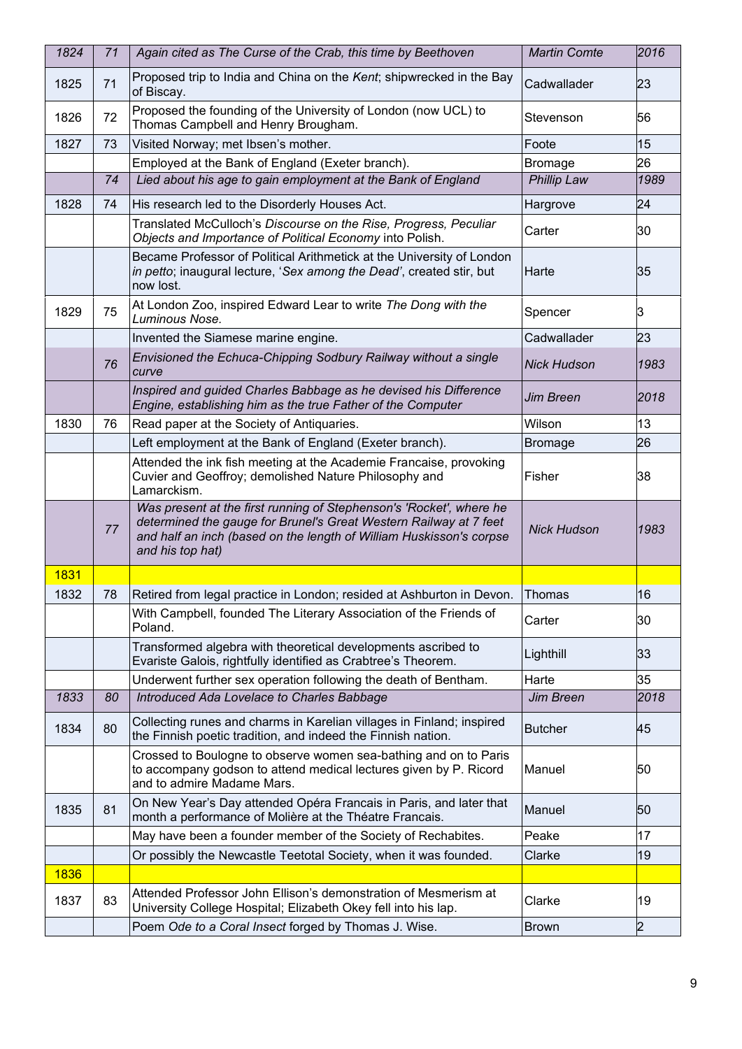| 1824 | 71 | Again cited as The Curse of the Crab, this time by Beethoven                                                                                                                                                                        | <b>Martin Comte</b> | 2016           |
|------|----|-------------------------------------------------------------------------------------------------------------------------------------------------------------------------------------------------------------------------------------|---------------------|----------------|
| 1825 | 71 | Proposed trip to India and China on the Kent; shipwrecked in the Bay<br>of Biscay.                                                                                                                                                  | Cadwallader         | 23             |
| 1826 | 72 | Proposed the founding of the University of London (now UCL) to<br>Thomas Campbell and Henry Brougham.                                                                                                                               | Stevenson           | 56             |
| 1827 | 73 | Visited Norway; met Ibsen's mother.                                                                                                                                                                                                 | Foote               | 15             |
|      |    | Employed at the Bank of England (Exeter branch).                                                                                                                                                                                    | <b>Bromage</b>      | 26             |
|      | 74 | Lied about his age to gain employment at the Bank of England                                                                                                                                                                        | <b>Phillip Law</b>  | 1989           |
| 1828 | 74 | His research led to the Disorderly Houses Act.                                                                                                                                                                                      | Hargrove            | 24             |
|      |    | Translated McCulloch's Discourse on the Rise, Progress, Peculiar<br>Objects and Importance of Political Economy into Polish.                                                                                                        | Carter              | 30             |
|      |    | Became Professor of Political Arithmetick at the University of London<br>in petto; inaugural lecture, 'Sex among the Dead', created stir, but<br>now lost.                                                                          | Harte               | 35             |
| 1829 | 75 | At London Zoo, inspired Edward Lear to write The Dong with the<br>Luminous Nose.                                                                                                                                                    | Spencer             | З              |
|      |    | Invented the Siamese marine engine.                                                                                                                                                                                                 | Cadwallader         | 23             |
|      | 76 | Envisioned the Echuca-Chipping Sodbury Railway without a single<br>curve                                                                                                                                                            | <b>Nick Hudson</b>  | 1983           |
|      |    | Inspired and guided Charles Babbage as he devised his Difference<br>Engine, establishing him as the true Father of the Computer                                                                                                     | Jim Breen           | 2018           |
| 1830 | 76 | Read paper at the Society of Antiquaries.                                                                                                                                                                                           | Wilson              | 13             |
|      |    | Left employment at the Bank of England (Exeter branch).                                                                                                                                                                             | <b>Bromage</b>      | 26             |
|      |    | Attended the ink fish meeting at the Academie Francaise, provoking<br>Cuvier and Geoffroy; demolished Nature Philosophy and<br>Lamarckism.                                                                                          | Fisher              | 38             |
|      | 77 | Was present at the first running of Stephenson's 'Rocket', where he<br>determined the gauge for Brunel's Great Western Railway at 7 feet<br>and half an inch (based on the length of William Huskisson's corpse<br>and his top hat) | <b>Nick Hudson</b>  | 1983           |
| 1831 |    |                                                                                                                                                                                                                                     |                     |                |
| 1832 | 78 | Retired from legal practice in London; resided at Ashburton in Devon.                                                                                                                                                               | Thomas              | 16             |
|      |    | With Campbell, founded The Literary Association of the Friends of<br>Poland.                                                                                                                                                        | Carter              | 30             |
|      |    | Transformed algebra with theoretical developments ascribed to<br>Evariste Galois, rightfully identified as Crabtree's Theorem.                                                                                                      | Lighthill           | 33             |
|      |    | Underwent further sex operation following the death of Bentham.                                                                                                                                                                     | Harte               | 35             |
| 1833 | 80 | Introduced Ada Lovelace to Charles Babbage                                                                                                                                                                                          | Jim Breen           | 2018           |
| 1834 | 80 | Collecting runes and charms in Karelian villages in Finland; inspired<br>the Finnish poetic tradition, and indeed the Finnish nation.                                                                                               | <b>Butcher</b>      | 45             |
|      |    | Crossed to Boulogne to observe women sea-bathing and on to Paris<br>to accompany godson to attend medical lectures given by P. Ricord<br>and to admire Madame Mars.                                                                 | Manuel              | 50             |
| 1835 | 81 | On New Year's Day attended Opéra Francais in Paris, and later that<br>month a performance of Molière at the Théatre Francais.                                                                                                       | Manuel              | 50             |
|      |    | May have been a founder member of the Society of Rechabites.                                                                                                                                                                        | Peake               | 17             |
|      |    | Or possibly the Newcastle Teetotal Society, when it was founded.                                                                                                                                                                    | Clarke              | 19             |
| 1836 |    |                                                                                                                                                                                                                                     |                     |                |
| 1837 | 83 | Attended Professor John Ellison's demonstration of Mesmerism at<br>University College Hospital; Elizabeth Okey fell into his lap.                                                                                                   | Clarke              | 19             |
|      |    | Poem Ode to a Coral Insect forged by Thomas J. Wise.                                                                                                                                                                                | <b>Brown</b>        | $\overline{2}$ |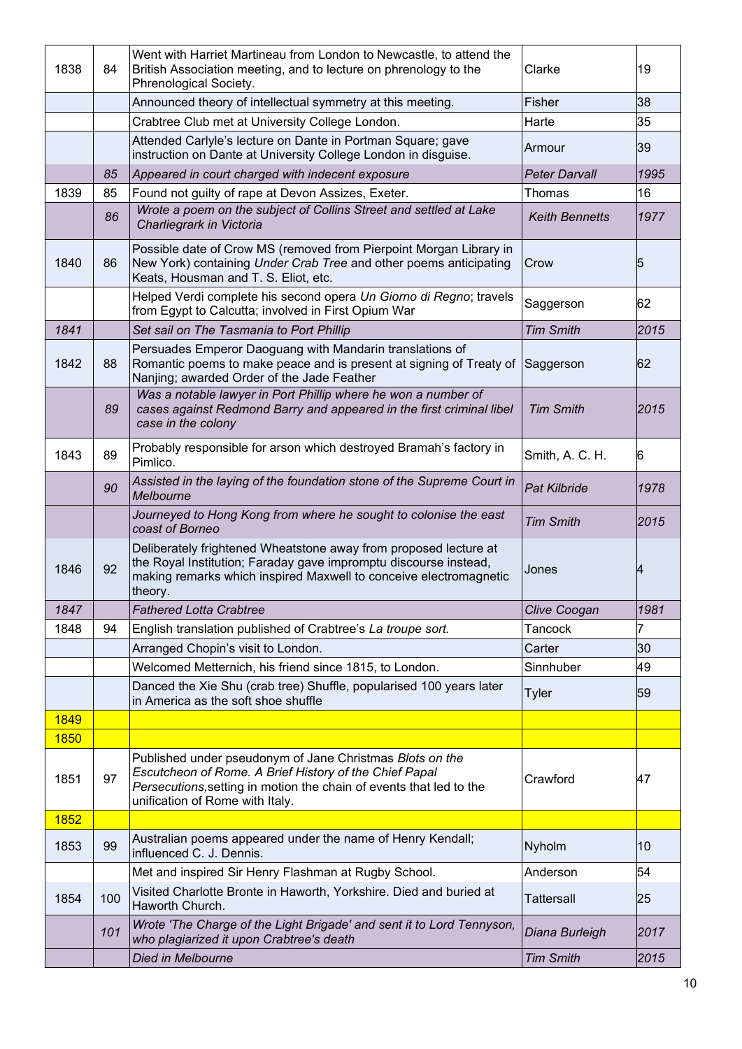| 1838 | 84  | Went with Harriet Martineau from London to Newcastle, to attend the<br>British Association meeting, and to lecture on phrenology to the<br>Phrenological Society.                                                            | Clarke                | 19    |
|------|-----|------------------------------------------------------------------------------------------------------------------------------------------------------------------------------------------------------------------------------|-----------------------|-------|
|      |     | Announced theory of intellectual symmetry at this meeting.                                                                                                                                                                   | Fisher                | 38    |
|      |     | Crabtree Club met at University College London.                                                                                                                                                                              | Harte                 | 35    |
|      |     | Attended Carlyle's lecture on Dante in Portman Square; gave<br>instruction on Dante at University College London in disguise.                                                                                                | Armour                | 39    |
|      | 85  | Appeared in court charged with indecent exposure                                                                                                                                                                             | <b>Peter Darvall</b>  | 1995  |
| 1839 | 85  | Found not guilty of rape at Devon Assizes, Exeter.                                                                                                                                                                           | Thomas                | 16    |
|      | 86  | Wrote a poem on the subject of Collins Street and settled at Lake<br>Charliegrark in Victoria                                                                                                                                | <b>Keith Bennetts</b> | 1977  |
| 1840 | 86  | Possible date of Crow MS (removed from Pierpoint Morgan Library in<br>New York) containing Under Crab Tree and other poems anticipating<br>Keats, Housman and T. S. Eliot, etc.                                              | Crow                  | 5     |
|      |     | Helped Verdi complete his second opera Un Giorno di Regno; travels<br>from Egypt to Calcutta; involved in First Opium War                                                                                                    | Saggerson             | 62    |
| 1841 |     | Set sail on The Tasmania to Port Phillip                                                                                                                                                                                     | <b>Tim Smith</b>      | 2015  |
| 1842 | 88  | Persuades Emperor Daoguang with Mandarin translations of<br>Romantic poems to make peace and is present at signing of Treaty of<br>Nanjing; awarded Order of the Jade Feather                                                | Saggerson             | 62    |
|      | 89  | Was a notable lawyer in Port Phillip where he won a number of<br>cases against Redmond Barry and appeared in the first criminal libel<br>case in the colony                                                                  | <b>Tim Smith</b>      | 12015 |
| 1843 | 89  | Probably responsible for arson which destroyed Bramah's factory in<br>Pimlico.                                                                                                                                               | Smith, A. C. H.       | 6     |
|      | 90  | Assisted in the laying of the foundation stone of the Supreme Court in<br>Melbourne                                                                                                                                          | <b>Pat Kilbride</b>   | 1978  |
|      |     | Journeyed to Hong Kong from where he sought to colonise the east<br>coast of Borneo                                                                                                                                          | <b>Tim Smith</b>      | 2015  |
| 1846 | 92  | Deliberately frightened Wheatstone away from proposed lecture at<br>the Royal Institution; Faraday gave impromptu discourse instead,<br>making remarks which inspired Maxwell to conceive electromagnetic<br>theory.         | Jones                 | 4     |
| 1847 |     | <b>Fathered Lotta Crabtree</b>                                                                                                                                                                                               | Clive Coogan          | 1981  |
| 1848 | 94  | English translation published of Crabtree's La troupe sort.                                                                                                                                                                  | Tancock               | 7     |
|      |     | Arranged Chopin's visit to London.                                                                                                                                                                                           | Carter                | 30    |
|      |     | Welcomed Metternich, his friend since 1815, to London.                                                                                                                                                                       | Sinnhuber             | 49    |
|      |     | Danced the Xie Shu (crab tree) Shuffle, popularised 100 years later<br>in America as the soft shoe shuffle                                                                                                                   | <b>Tyler</b>          | 59    |
| 1849 |     |                                                                                                                                                                                                                              |                       |       |
| 1850 |     |                                                                                                                                                                                                                              |                       |       |
| 1851 | 97  | Published under pseudonym of Jane Christmas Blots on the<br>Escutcheon of Rome. A Brief History of the Chief Papal<br>Persecutions, setting in motion the chain of events that led to the<br>unification of Rome with Italy. | Crawford              | 47    |
| 1852 |     |                                                                                                                                                                                                                              |                       |       |
| 1853 | 99  | Australian poems appeared under the name of Henry Kendall;<br>influenced C. J. Dennis.                                                                                                                                       | Nyholm                | 10    |
|      |     | Met and inspired Sir Henry Flashman at Rugby School.                                                                                                                                                                         | Anderson              | 54    |
| 1854 | 100 | Visited Charlotte Bronte in Haworth, Yorkshire. Died and buried at<br>Haworth Church.                                                                                                                                        | <b>Tattersall</b>     | 25    |
|      | 101 | Wrote 'The Charge of the Light Brigade' and sent it to Lord Tennyson,<br>who plagiarized it upon Crabtree's death                                                                                                            | Diana Burleigh        | 2017  |
|      |     | Died in Melbourne                                                                                                                                                                                                            | <b>Tim Smith</b>      | 2015  |